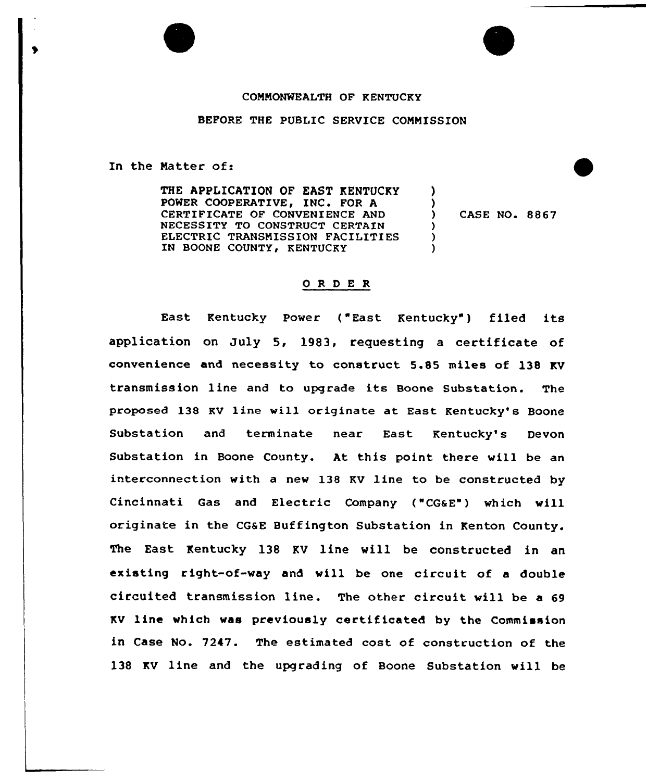## COMMONWEALTH OF KENTUCKY

## BEFORE THE PUBLIC SERVICE COMMISSION

In the Natter of:

THE APPLICATION OF EAST KENTUCKY POWER COOPERATIVE, INC. FOR A CERTIFICATE OF CONVENIENCE AND NECESSITY TO CONSTRUCT CERTAIN ELECTRIC TRANSMISSION FACILITIES IN BOONE COUNTY, KENTUCKY )  $\lambda$ ) ) )

) CASE NO. 8867

## 0 R <sup>D</sup> E R

East Kentucky Power ("East Kentucky" ) filed its application on July 5, 1983, requesting a certificate of convenience and necessity to construct 5.85 miles of 138 KV transmission line and to upgrade its Boone Substation. The proposed 138 Kv line will originate at East Kentucky's Boone Substation and terminate near East Kentucky's Devon Substation in Boone County. At this point there will be an interconnection with a new 138 KV line to be constructed by Cincinnati Gas and Electric Company ("CGaE") which vill originate in the CGaE Buffington Substation in Kenton County. The East Kentucky 138 KV line will be constructed in an existing right-of-way and vill be one circuit of <sup>a</sup> double circuited transmission line. The other circuit vill be a 69 KV linc which vas previously certif icated by the Commission in Case No. 7247. The estimated cost of construction of the 138 KV line and the upgrading of Boone Substation will be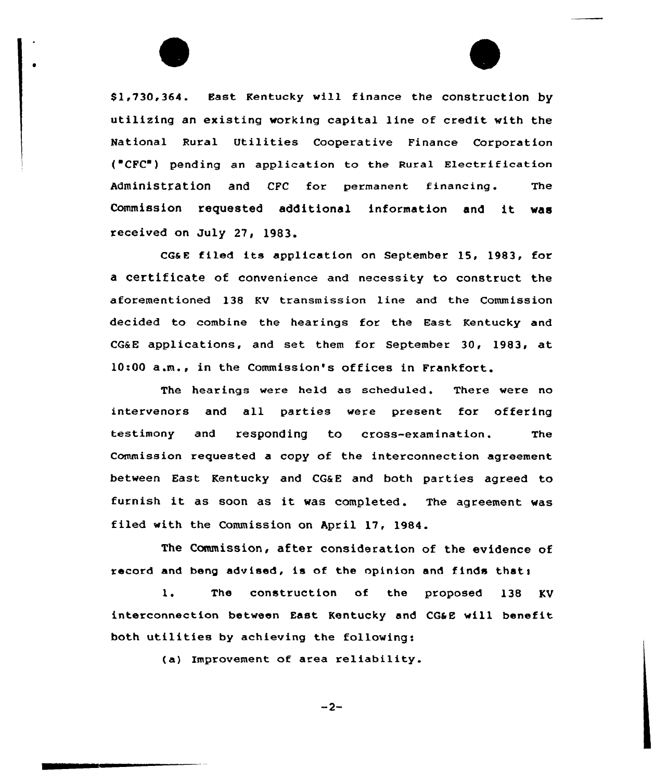\$ 1,730,364. East Kentucky will finance the construction by utilizing an existing working capital line of credit with the National Rural Utilities Cooperative Finance Corporation ( CFC"} pending an application to the Rural Electrification Administration and CFC for permanent financing. The Commission requested additional information and it was received on July 27, 1983.

CGs <sup>E</sup> filed its application on September 15, 1983, far a certificate of convenience and necessity to construct the aforementioned 138 KV transmission line and the Commission decided to combine the hearings for the East Kentucky and CG&E applications, and set them for September 30, 1983, at 10:00 a.m., in the Commission's offices in Frankfort.

The hearings were held as scheduled. There were no intervenors and all parties were present for offering testimony and responding to cross-examination. The Commission requested a copy of the intercannection agreement between East Kentucky and CG&E and both parties agreed to furnish it as soon as it was completed. The agreement was filed with the Commission an April 17, 1984.

The Commission, after consideration of the evidence of record and beng advised, is of the opinion and finds that;

1, The construction of the proposed 138 KV interconnection between East Kentucky and CG&E will benefit both utilities by achieving the following:

(a} Improvement of area reliability.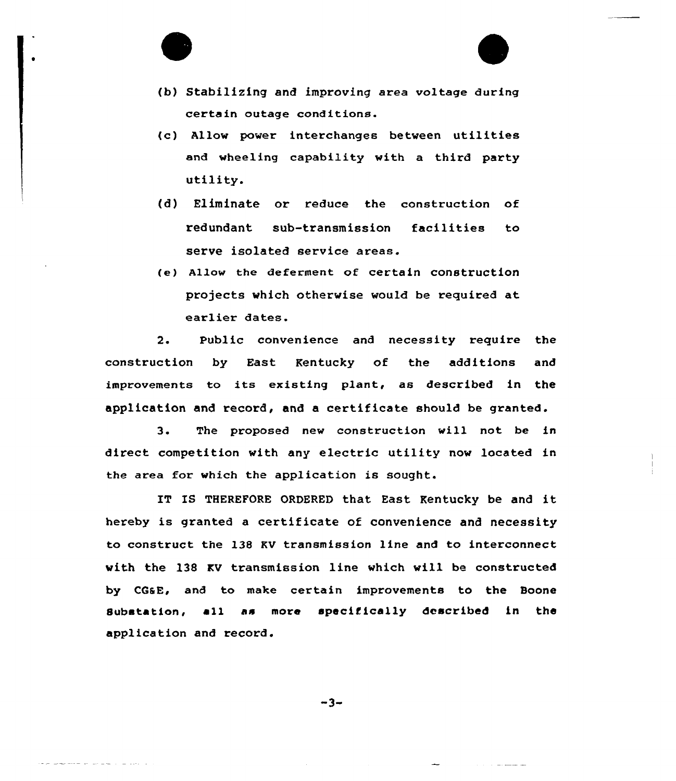

- (c} Allow power interchanges between utilities and wheeling capability with a third party utility.
- (d) Eliminate or reduce the construction of redundant sub-transmission facilities to serve isolated service areas.
- (e) Allow the deferment of certain construction projects vhich othervise would be required at earlier dates.

2. Public convenience and necessity require the construction by East Kentucky of the additions and improvements to its existing plant, as described in the application and record, and a certificate should be granted.

3. The proposed new construction will not be in direct competition with any electric utility now located in the area for which the application is sought.

IT IS THEREFORE ORDERED that East Kentucky be and it hereby is granted a certificate of convenience and necessity to construct the 138 KV transmission line and to interconnect vith the 138 KV transmission line vhich vill be constructed by CGaE, and to make certain improvements to the Boone substation, e11 as more specifically described in the application and record.

 $-3-$ 

مناصبات المناديات